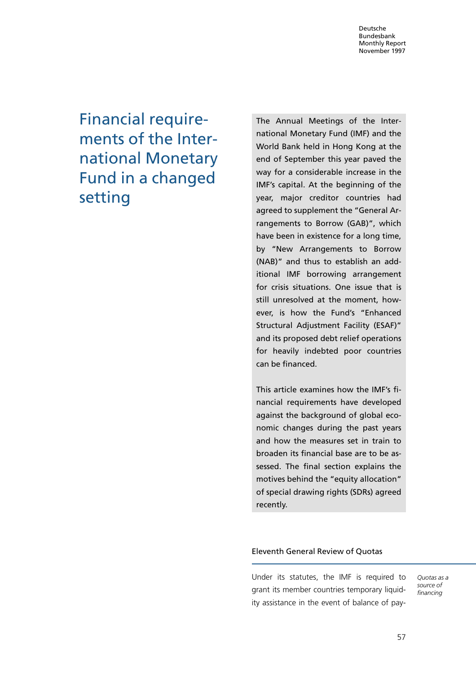Financial requirements of the International Monetary Fund in a changed setting

The Annual Meetings of the International Monetary Fund (IMF) and the World Bank held in Hong Kong at the end of September this year paved the way for a considerable increase in the IMF's capital. At the beginning of the year, major creditor countries had agreed to supplement the "General Arrangements to Borrow (GAB)", which have been in existence for a long time, by ªNew Arrangements to Borrow (NAB)" and thus to establish an additional IMF borrowing arrangement for crisis situations. One issue that is still unresolved at the moment, however, is how the Fund's "Enhanced Structural Adjustment Facility (ESAF)" and its proposed debt relief operations for heavily indebted poor countries can be financed.

This article examines how the IMF's financial requirements have developed against the background of global economic changes during the past years and how the measures set in train to broaden its financial base are to be assessed. The final section explains the motives behind the "equity allocation" of special drawing rights (SDRs) agreed recently.

## Eleventh General Review of Quotas

Under its statutes, the IMF is required to grant its member countries temporary liquidity assistance in the event of balance of payQuotas as a source of financing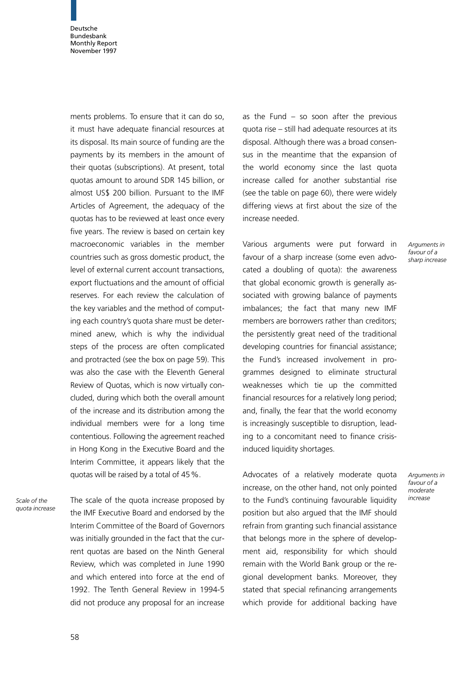ments problems. To ensure that it can do so, it must have adequate financial resources at its disposal. Its main source of funding are the payments by its members in the amount of their quotas (subscriptions). At present, total quotas amount to around SDR 145 billion, or almost US\$ 200 billion. Pursuant to the IMF Articles of Agreement, the adequacy of the quotas has to be reviewed at least once every five years. The review is based on certain key macroeconomic variables in the member countries such as gross domestic product, the level of external current account transactions, export fluctuations and the amount of official reserves. For each review the calculation of the key variables and the method of computing each country's quota share must be determined anew, which is why the individual steps of the process are often complicated and protracted (see the box on page 59). This was also the case with the Eleventh General Review of Quotas, which is now virtually concluded, during which both the overall amount of the increase and its distribution among the individual members were for a long time contentious. Following the agreement reached in Hong Kong in the Executive Board and the Interim Committee, it appears likely that the quotas will be raised by a total of 45%.

Scale of the quota increase The scale of the quota increase proposed by the IMF Executive Board and endorsed by the Interim Committee of the Board of Governors was initially grounded in the fact that the current quotas are based on the Ninth General Review, which was completed in June 1990 and which entered into force at the end of 1992. The Tenth General Review in 1994-5 did not produce any proposal for an increase

as the Fund  $-$  so soon after the previous  $quota$  rise  $-$  still had adequate resources at its disposal. Although there was a broad consensus in the meantime that the expansion of the world economy since the last quota increase called for another substantial rise (see the table on page 60), there were widely differing views at first about the size of the increase needed.

Various arguments were put forward in favour of a sharp increase (some even advocated a doubling of quota): the awareness that global economic growth is generally associated with growing balance of payments imbalances; the fact that many new IMF members are borrowers rather than creditors; the persistently great need of the traditional developing countries for financial assistance; the Fund's increased involvement in programmes designed to eliminate structural weaknesses which tie up the committed financial resources for a relatively long period; and, finally, the fear that the world economy is increasingly susceptible to disruption, leading to a concomitant need to finance crisisinduced liquidity shortages.

Advocates of a relatively moderate quota increase, on the other hand, not only pointed to the Fund's continuing favourable liquidity position but also argued that the IMF should refrain from granting such financial assistance that belongs more in the sphere of development aid, responsibility for which should remain with the World Bank group or the regional development banks. Moreover, they stated that special refinancing arrangements which provide for additional backing have

Arguments in  $f$ avour of a sharp increase

Arguments in favour of a moderate increase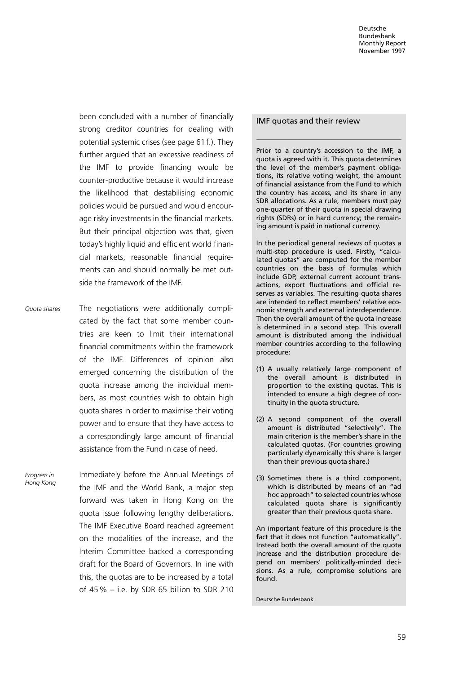been concluded with a number of financially strong creditor countries for dealing with potential systemic crises (see page 61 f.). They further argued that an excessive readiness of the IMF to provide financing would be counter-productive because it would increase the likelihood that destabilising economic policies would be pursued and would encourage risky investments in the financial markets. But their principal objection was that, given today's highly liquid and efficient world financial markets, reasonable financial requirements can and should normally be met outside the framework of the IMF.

The negotiations were additionally complicated by the fact that some member countries are keen to limit their international financial commitments within the framework of the IMF. Differences of opinion also emerged concerning the distribution of the quota increase among the individual members, as most countries wish to obtain high quota shares in order to maximise their voting power and to ensure that they have access to a correspondingly large amount of financial assistance from the Fund in case of need. Quota shares

Immediately before the Annual Meetings of the IMF and the World Bank, a major step forward was taken in Hong Kong on the quota issue following lengthy deliberations. The IMF Executive Board reached agreement on the modalities of the increase, and the Interim Committee backed a corresponding draft for the Board of Governors. In line with this, the quotas are to be increased by a total of  $45\%$  – i.e. by SDR 65 billion to SDR 210 Progress in Hong Kong

### IMF quotas and their review

Prior to a country's accession to the IMF, a quota is agreed with it. This quota determines the level of the member's payment obligations, its relative voting weight, the amount of financial assistance from the Fund to which the country has access, and its share in any SDR allocations. As a rule, members must pay one-quarter of their quota in special drawing rights (SDRs) or in hard currency; the remaining amount is paid in national currency.

In the periodical general reviews of quotas a multi-step procedure is used. Firstly, "calculated quotas" are computed for the member countries on the basis of formulas which include GDP, external current account transactions, export fluctuations and official reserves as variables. The resulting quota shares are intended to reflect members' relative economic strength and external interdependence. Then the overall amount of the quota increase is determined in a second step. This overall amount is distributed among the individual member countries according to the following procedure:

- (1) A usually relatively large component of the overall amount is distributed in proportion to the existing quotas. This is intended to ensure a high degree of continuity in the quota structure.
- (2) A second component of the overall amount is distributed "selectively". The main criterion is the member's share in the calculated quotas. (For countries growing particularly dynamically this share is larger than their previous quota share.)
- (3) Sometimes there is a third component, which is distributed by means of an "ad hoc approach" to selected countries whose calculated quota share is significantly greater than their previous quota share.

An important feature of this procedure is the fact that it does not function "automatically". Instead both the overall amount of the quota increase and the distribution procedure depend on members' politically-minded decisions. As a rule, compromise solutions are found.

Deutsche Bundesbank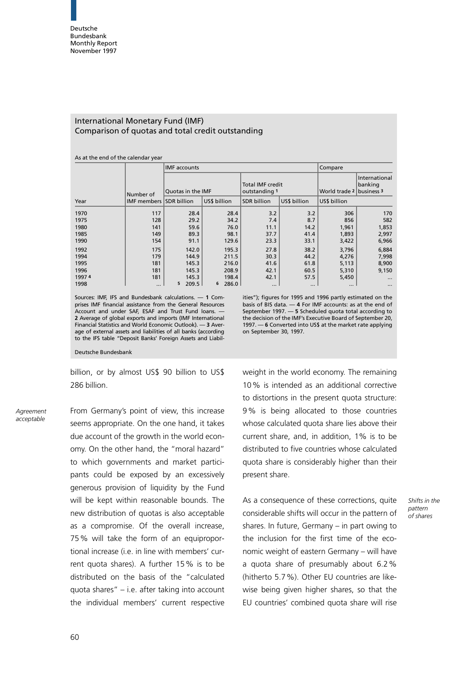## International Monetary Fund (IMF) Comparison of quotas and total credit outstanding

#### As at the end of the calendar year

|       |                                | <b>IMF</b> accounts |              |                                          |              | Compare                  |                          |
|-------|--------------------------------|---------------------|--------------|------------------------------------------|--------------|--------------------------|--------------------------|
|       | Number of                      | Ouotas in the IMF   |              | <b>Total IMF credit</b><br>outstanding 1 |              | World trade 2 business 3 | International<br>banking |
| Year  | <b>IMF members SDR billion</b> |                     | US\$ billion | <b>SDR</b> billion                       | US\$ billion | US\$ billion             |                          |
| 1970  | 117                            | 28.4                | 28.4         | 3.2                                      | 3.2          | 306                      | 170                      |
| 1975  | 128                            | 29.2                | 34.2         | 7.4                                      | 8.7          | 856                      | 582                      |
| 1980  | 141                            | 59.6                | 76.0         | 11.1                                     | 14.2         | 1,961                    | 1,853                    |
| 1985  | 149                            | 89.3                | 98.1         | 37.7                                     | 41.4         | 1,893                    | 2,997                    |
| 1990  | 154                            | 91.1                | 129.6        | 23.3                                     | 33.1         | 3,422                    | 6,966                    |
| 1992  | 175                            | 142.0               | 195.3        | 27.8                                     | 38.2         | 3,796                    | 6,884                    |
| 1994  | 179                            | 144.9               | 211.5        | 30.3                                     | 44.2         | 4,276                    | 7,998                    |
| 1995  | 181                            | 145.3               | 216.0        | 41.6                                     | 61.8         | 5,113                    | 8,900                    |
| 1996  | 181                            | 145.3               | 208.9        | 42.1                                     | 60.5         | 5,310                    | 9,150                    |
| 19974 | 181                            | 145.3               | 198.4        | 42.1                                     | 57.5         | 5,450                    | $\cdots$                 |
| 1998  | $\cdots$                       | 5<br>209.5          | 6<br>286.0   | $\cdots$                                 | $\cdots$     | $\cdots$                 | $\cdots$                 |

Sources: IMF, IFS and Bundesbank calculations.  $\sim$  1 Comprises IMF financial assistance from the General Resources Account and under SAF, ESAF and Trust Fund loans. 2 Average of global exports and imports (IMF International Financial Statistics and World Economic Outlook). — 3 Average of external assets and liabilities of all banks (according to the IFS table ªDeposit Banks' Foreign Assets and Liabilitiesº); figures for 1995 and 1996 partly estimated on the basis of BIS data. — **4** For IMF accounts: as at the end of September 1997. — 5 Scheduled quota total according to the decision of the IMF's Executive Board of September 20, 1997. – 6 Converted into US\$ at the market rate applying on September 30, 1997.

Deutsche Bundesbank

billion, or by almost US\$ 90 billion to US\$ 286 billion.

Agreement acceptable

From Germany's point of view, this increase seems appropriate. On the one hand, it takes due account of the growth in the world economy. On the other hand, the "moral hazard" to which governments and market participants could be exposed by an excessively generous provision of liquidity by the Fund will be kept within reasonable bounds. The new distribution of quotas is also acceptable as a compromise. Of the overall increase, 75% will take the form of an equiproportional increase (i.e. in line with members' current quota shares). A further 15% is to be distributed on the basis of the "calculated quota shares"  $-$  i.e. after taking into account the individual members' current respective weight in the world economy. The remaining 10% is intended as an additional corrective to distortions in the present quota structure: 9% is being allocated to those countries whose calculated quota share lies above their current share, and, in addition, 1% is to be distributed to five countries whose calculated quota share is considerably higher than their present share.

As a consequence of these corrections, quite considerable shifts will occur in the pattern of shares. In future, Germany  $-$  in part owing to the inclusion for the first time of the economic weight of eastern Germany - will have a quota share of presumably about 6.2% (hitherto 5.7%). Other EU countries are likewise being given higher shares, so that the EU countries' combined quota share will rise

### Shifts in the pattern of shares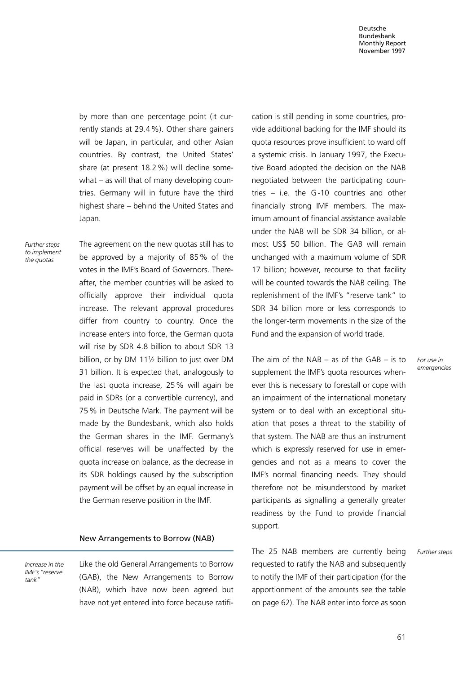by more than one percentage point (it currently stands at 29.4%). Other share gainers will be Japan, in particular, and other Asian countries. By contrast, the United States' share (at present 18.2%) will decline somewhat  $-$  as will that of many developing countries. Germany will in future have the third highest share - behind the United States and Japan.

Further steps to implement the quotas

The agreement on the new quotas still has to be approved by a majority of 85% of the votes in the IMF's Board of Governors. Thereafter, the member countries will be asked to officially approve their individual quota increase. The relevant approval procedures differ from country to country. Once the increase enters into force, the German quota will rise by SDR 4.8 billion to about SDR 13 billion, or by DM 111/2 billion to just over DM 31 billion. It is expected that, analogously to the last quota increase, 25% will again be paid in SDRs (or a convertible currency), and 75% in Deutsche Mark. The payment will be made by the Bundesbank, which also holds the German shares in the IMF. Germany's official reserves will be unaffected by the quota increase on balance, as the decrease in its SDR holdings caused by the subscription payment will be offset by an equal increase in the German reserve position in the IMF.

## New Arrangements to Borrow (NAB)

Increase in the IMF's ªreserve tankº

Like the old General Arrangements to Borrow (GAB), the New Arrangements to Borrow (NAB), which have now been agreed but have not yet entered into force because ratification is still pending in some countries, provide additional backing for the IMF should its quota resources prove insufficient to ward off a systemic crisis. In January 1997, the Executive Board adopted the decision on the NAB negotiated between the participating countries  $-$  i.e. the G-10 countries and other financially strong IMF members. The maximum amount of financial assistance available under the NAB will be SDR 34 billion, or almost US\$ 50 billion. The GAB will remain unchanged with a maximum volume of SDR 17 billion; however, recourse to that facility will be counted towards the NAB ceiling. The replenishment of the IMF's "reserve tank" to SDR 34 billion more or less corresponds to the longer-term movements in the size of the Fund and the expansion of world trade.

The aim of the NAB  $-$  as of the GAB  $-$  is to supplement the IMF's quota resources whenever this is necessary to forestall or cope with an impairment of the international monetary system or to deal with an exceptional situation that poses a threat to the stability of that system. The NAB are thus an instrument which is expressly reserved for use in emergencies and not as a means to cover the IMF's normal financing needs. They should therefore not be misunderstood by market participants as signalling a generally greater readiness by the Fund to provide financial support.

The 25 NAB members are currently being requested to ratify the NAB and subsequently to notify the IMF of their participation (for the apportionment of the amounts see the table on page 62). The NAB enter into force as soon For use in emergencies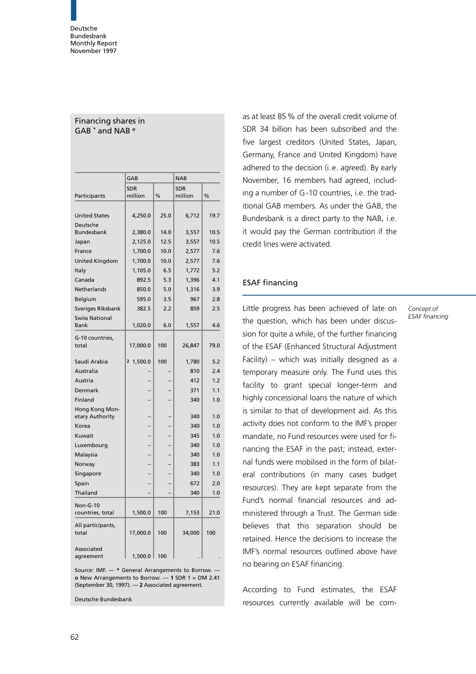Financing shares in GAB \* and NAB <sup>o</sup>

|                                      | GAB                   |               | <b>NAB</b>            |               |  |
|--------------------------------------|-----------------------|---------------|-----------------------|---------------|--|
| Participants                         | <b>SDR</b><br>million | $\frac{0}{0}$ | <b>SDR</b><br>million | $\frac{0}{0}$ |  |
|                                      |                       |               |                       |               |  |
| <b>United States</b>                 | 4,250.0               | 25.0          | 6,712                 | 19.7          |  |
| Deutsche<br><b>Bundesbank</b>        | 2,380.0               | 14.0          | 3,557                 | 10.5          |  |
| Japan                                | 2,125.0               | 12.5          | 3,557                 | 10.5          |  |
| France                               | 1,700.0               | 10.0          | 2,577                 | 7.6           |  |
| <b>United Kingdom</b>                | 1,700.0               | 10.0          | 2,577                 | 7.6           |  |
| Italy                                | 1,105.0               | 6.5           | 1,772                 | 5.2           |  |
| Canada                               | 892.5                 | 5.3           | 1,396                 | 4.1           |  |
| Netherlands                          | 850.0                 | 5.0           | 1,316                 | 3.9           |  |
| Belgium                              | 595.0                 | 3.5           | 967                   | 2.8           |  |
| Sveriges Riksbank                    | 382.5                 | 2.2           | 859                   | 2.5           |  |
| <b>Swiss National</b><br><b>Bank</b> | 1,020.0               | 6.0           | 1,557                 | 4.6           |  |
| G-10 countries,<br>total             | 17,000.0              | 100           | 26,847                | 79.0          |  |
| Saudi Arabia                         | 2 1,500.0             | 100           | 1,780                 | 5.2           |  |
| Australia                            |                       |               | 810                   | 2.4           |  |
| Austria                              |                       |               | 412                   | 1.2           |  |
| Denmark                              |                       |               | 371                   | 1.1           |  |
| Finland                              |                       |               | 340                   | 1.0           |  |
| Hong Kong Mon-<br>etary Authority    |                       |               | 340                   | 1.0           |  |
| Korea                                |                       |               | 340                   | 1.0           |  |
| Kuwait                               |                       |               | 345                   | 1.0           |  |
| Luxembourg                           |                       |               | 340                   | 1.0           |  |
| Malaysia                             |                       |               | 340                   | 1.0           |  |
| Norway                               |                       |               | 383                   | 1.1           |  |
| Singapore                            |                       |               | 340                   | 1.0           |  |
| Spain                                |                       |               | 672                   | 2.0           |  |
| Thailand                             |                       |               | 340                   | 1.0           |  |
| Non-G-10<br>countries, total         | 1,500.0               | 100           | 7,153                 | 21.0          |  |
| All participants,<br>total           | 17,000.0              | 100           | 34,000                | 100           |  |
| Associated<br>agreement              | 1,500.0               | 100           |                       |               |  |

Source: IMF.  $-$  \* General Arrangements to Borrow.  $$ o New Arrangements to Borrow.  $-1$  SDR 1 = DM 2.41 (September 30, 1997).  $-$  2 Associated agreement.

Deutsche Bundesbank

as at least 85% of the overall credit volume of SDR 34 billion has been subscribed and the five largest creditors (United States, Japan, Germany, France and United Kingdom) have adhered to the decision (i. e. agreed). By early November, 16 members had agreed, including a number of G -10 countries, i.e. the traditional GAB members. As under the GAB, the Bundesbank is a direct party to the NAB, i.e. it would pay the German contribution if the credit lines were activated.

# ESAF financing

Little progress has been achieved of late on the question, which has been under discussion for quite a while, of the further financing of the ESAF (Enhanced Structural Adjustment Facility) – which was initially designed as a temporary measure only. The Fund uses this facility to grant special longer-term and highly concessional loans the nature of which is similar to that of development aid. As this activity does not conform to the IMF's proper mandate, no Fund resources were used for financing the ESAF in the past; instead, external funds were mobilised in the form of bilateral contributions (in many cases budget resources). They are kept separate from the Fund's normal financial resources and administered through a Trust. The German side believes that this separation should be retained. Hence the decisions to increase the IMF's normal resources outlined above have no bearing on ESAF financing.

According to Fund estimates, the ESAF resources currently available will be comConcept of ESAF financing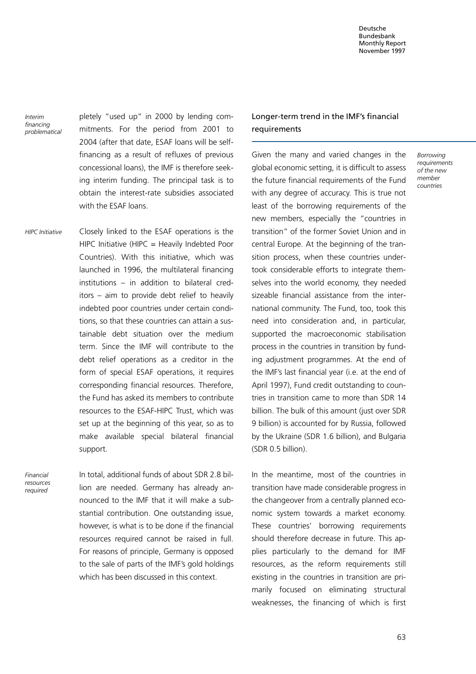Interim financing problematical pletely "used up" in 2000 by lending commitments. For the period from 2001 to 2004 (after that date, ESAF loans will be selffinancing as a result of refluxes of previous concessional loans), the IMF is therefore seeking interim funding. The principal task is to obtain the interest-rate subsidies associated with the ESAF loans.

Closely linked to the ESAF operations is the HIPC Initiative (HIPC = Heavily Indebted Poor Countries). With this initiative, which was launched in 1996, the multilateral financing  $institutions - in addition to bilateral cred$ itors  $-$  aim to provide debt relief to heavily indebted poor countries under certain conditions, so that these countries can attain a sustainable debt situation over the medium term. Since the IMF will contribute to the debt relief operations as a creditor in the form of special ESAF operations, it requires corresponding financial resources. Therefore, the Fund has asked its members to contribute resources to the ESAF-HIPC Trust, which was set up at the beginning of this year, so as to make available special bilateral financial support. HIPC Initiative

Financial resources required

In total, additional funds of about SDR 2.8 billion are needed. Germany has already announced to the IMF that it will make a substantial contribution. One outstanding issue, however, is what is to be done if the financial resources required cannot be raised in full. For reasons of principle, Germany is opposed to the sale of parts of the IMF's gold holdings which has been discussed in this context.

# Longer-term trend in the IMF's financial requirements

Given the many and varied changes in the global economic setting, it is difficult to assess the future financial requirements of the Fund with any degree of accuracy. This is true not least of the borrowing requirements of the new members, especially the ªcountries in transitionº of the former Soviet Union and in central Europe. At the beginning of the transition process, when these countries undertook considerable efforts to integrate themselves into the world economy, they needed sizeable financial assistance from the international community. The Fund, too, took this need into consideration and, in particular, supported the macroeconomic stabilisation process in the countries in transition by funding adjustment programmes. At the end of the IMF's last financial year (i.e. at the end of April 1997), Fund credit outstanding to countries in transition came to more than SDR 14 billion. The bulk of this amount (just over SDR 9 billion) is accounted for by Russia, followed by the Ukraine (SDR 1.6 billion), and Bulgaria (SDR 0.5 billion).

In the meantime, most of the countries in transition have made considerable progress in the changeover from a centrally planned economic system towards a market economy. These countries' borrowing requirements should therefore decrease in future. This applies particularly to the demand for IMF resources, as the reform requirements still existing in the countries in transition are primarily focused on eliminating structural weaknesses, the financing of which is first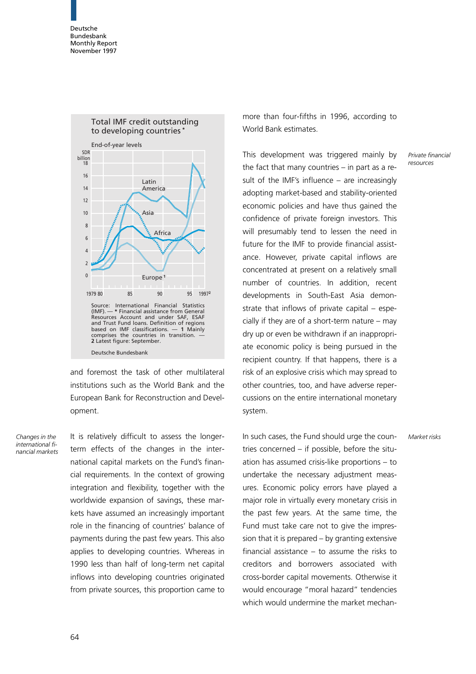



and foremost the task of other multilateral institutions such as the World Bank and the European Bank for Reconstruction and Development.

Changes in the international financial markets It is relatively difficult to assess the longerterm effects of the changes in the international capital markets on the Fund's financial requirements. In the context of growing integration and flexibility, together with the worldwide expansion of savings, these markets have assumed an increasingly important role in the financing of countries' balance of payments during the past few years. This also applies to developing countries. Whereas in 1990 less than half of long-term net capital inflows into developing countries originated from private sources, this proportion came to

more than four-fifths in 1996, according to World Bank estimates.

This development was triggered mainly by the fact that many countries  $-$  in part as a result of the IMF's influence  $-$  are increasingly adopting market-based and stability-oriented economic policies and have thus gained the confidence of private foreign investors. This will presumably tend to lessen the need in future for the IMF to provide financial assistance. However, private capital inflows are concentrated at present on a relatively small number of countries. In addition, recent developments in South-East Asia demonstrate that inflows of private capital  $-$  especially if they are of a short-term nature  $-$  may dry up or even be withdrawn if an inappropriate economic policy is being pursued in the recipient country. If that happens, there is a risk of an explosive crisis which may spread to other countries, too, and have adverse repercussions on the entire international monetary system.

In such cases, the Fund should urge the countries concerned  $-$  if possible, before the situation has assumed crisis-like proportions  $-$  to undertake the necessary adjustment measures. Economic policy errors have played a major role in virtually every monetary crisis in the past few years. At the same time, the Fund must take care not to give the impression that it is prepared  $-$  by granting extensive financial assistance  $-$  to assume the risks to creditors and borrowers associated with cross-border capital movements. Otherwise it would encourage "moral hazard" tendencies which would undermine the market mechanPrivate financial resources

Market risks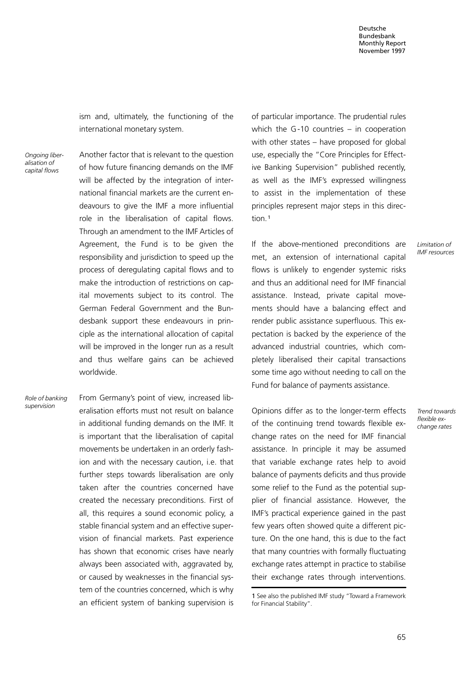ism and, ultimately, the functioning of the international monetary system.

Ongoing liberalisation of capital flows

Another factor that is relevant to the question of how future financing demands on the IMF will be affected by the integration of international financial markets are the current endeavours to give the IMF a more influential role in the liberalisation of capital flows. Through an amendment to the IMF Articles of Agreement, the Fund is to be given the responsibility and jurisdiction to speed up the process of deregulating capital flows and to make the introduction of restrictions on capital movements subject to its control. The German Federal Government and the Bundesbank support these endeavours in principle as the international allocation of capital will be improved in the longer run as a result and thus welfare gains can be achieved worldwide.

From Germany's point of view, increased liberalisation efforts must not result on balance in additional funding demands on the IMF. It is important that the liberalisation of capital movements be undertaken in an orderly fashion and with the necessary caution, i.e. that further steps towards liberalisation are only taken after the countries concerned have created the necessary preconditions. First of all, this requires a sound economic policy, a stable financial system and an effective supervision of financial markets. Past experience has shown that economic crises have nearly always been associated with, aggravated by, or caused by weaknesses in the financial system of the countries concerned, which is why an efficient system of banking supervision is Role of banking supervision

of particular importance. The prudential rules which the G-10 countries  $-$  in cooperation with other states  $-$  have proposed for global use, especially the "Core Principles for Effective Banking Supervision" published recently, as well as the IMF's expressed willingness to assist in the implementation of these principles represent major steps in this direction<sup>1</sup>

If the above-mentioned preconditions are met, an extension of international capital flows is unlikely to engender systemic risks and thus an additional need for IMF financial assistance. Instead, private capital movements should have a balancing effect and render public assistance superfluous. This expectation is backed by the experience of the advanced industrial countries, which completely liberalised their capital transactions some time ago without needing to call on the Fund for balance of payments assistance.

Opinions differ as to the longer-term effects of the continuing trend towards flexible exchange rates on the need for IMF financial assistance. In principle it may be assumed that variable exchange rates help to avoid balance of payments deficits and thus provide some relief to the Fund as the potential supplier of financial assistance. However, the IMF's practical experience gained in the past few years often showed quite a different picture. On the one hand, this is due to the fact that many countries with formally fluctuating exchange rates attempt in practice to stabilise their exchange rates through interventions.

Limitation of IMF resources

Trend towards flexible exchange rates

<sup>1</sup> See also the published IMF study ªToward a Framework for Financial Stability".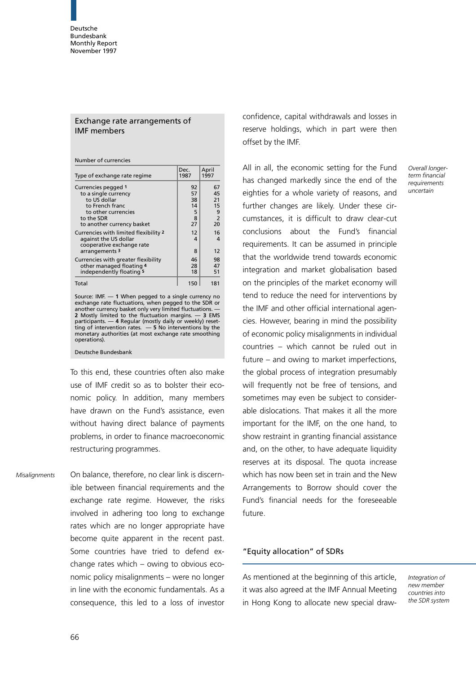# Exchange rate arrangements of IMF members

Number of currencies

| Type of exchange rate regime                                                                | Dec.<br>1987   | April<br>1997        |
|---------------------------------------------------------------------------------------------|----------------|----------------------|
| Currencies pegged 1                                                                         | 92             | 67                   |
| to a single currency<br>to US dollar                                                        | 57<br>38       | 45<br>21             |
| to French franc                                                                             | 14             | 15                   |
| to other currencies                                                                         | 5              | 9                    |
| to the SDR<br>to another currency basket                                                    | 8<br>27        | $\overline{2}$<br>20 |
| Currencies with limited flexibility 2<br>against the US dollar<br>cooperative exchange rate | 12<br>4        | 16<br>4              |
| arrangements 3                                                                              | 8              | 12                   |
| Currencies with greater flexibility<br>other managed floating 4<br>independently floating 5 | 46<br>28<br>18 | 98<br>47<br>51       |
| Total                                                                                       | 150            | 181                  |

Source: IMF.  $-1$  When pegged to a single currency no exchange rate fluctuations, when pegged to the SDR or<br>another currency basket only very limited fluctuations. — 2 Mostly limited to the fluctuation margins.  $-$  3 EMS participants. — 4 Regular (mostly daily or weekly) reset-<br>ting of intervention rates. — 5 No interventions by the monetary authorities (at most exchange rate smoothing operations).

### Deutsche Bundesbank

To this end, these countries often also make use of IMF credit so as to bolster their economic policy. In addition, many members have drawn on the Fund's assistance, even without having direct balance of payments problems, in order to finance macroeconomic restructuring programmes.

On balance, therefore, no clear link is discernible between financial requirements and the exchange rate regime. However, the risks involved in adhering too long to exchange rates which are no longer appropriate have become quite apparent in the recent past. Some countries have tried to defend exchange rates which  $-$  owing to obvious economic policy misalignments - were no longer in line with the economic fundamentals. As a consequence, this led to a loss of investor **Misalignments** 

confidence, capital withdrawals and losses in reserve holdings, which in part were then offset by the IMF.

All in all, the economic setting for the Fund has changed markedly since the end of the eighties for a whole variety of reasons, and further changes are likely. Under these circumstances, it is difficult to draw clear-cut conclusions about the Fund's financial requirements. It can be assumed in principle that the worldwide trend towards economic integration and market globalisation based on the principles of the market economy will tend to reduce the need for interventions by the IMF and other official international agencies. However, bearing in mind the possibility of economic policy misalignments in individual countries = which cannot be ruled out in future  $-$  and owing to market imperfections, the global process of integration presumably will frequently not be free of tensions, and sometimes may even be subject to considerable dislocations. That makes it all the more important for the IMF, on the one hand, to show restraint in granting financial assistance and, on the other, to have adequate liquidity reserves at its disposal. The quota increase which has now been set in train and the New Arrangements to Borrow should cover the Fund's financial needs for the foreseeable future.

## ªEquity allocationº of SDRs

As mentioned at the beginning of this article, it was also agreed at the IMF Annual Meeting in Hong Kong to allocate new special drawIntegration of new member countries into the SDR system

Overall longerterm financial requirements uncertain